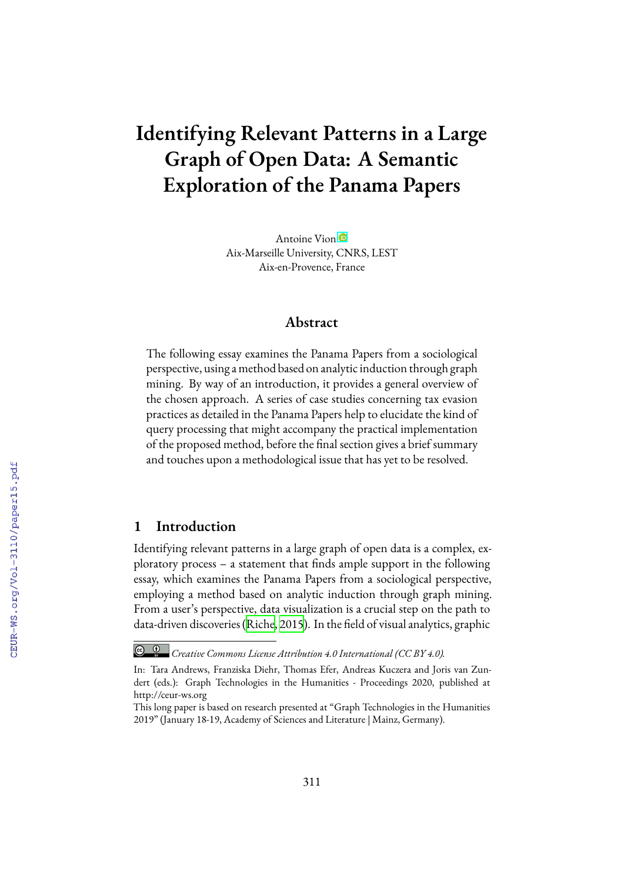# **Identifying Relevant Patterns in a Large Graph of Open Data: A Semantic Exploration of the Panama Papers**

Antoine Vion Aix-Marseille University, CNRS, LEST Aix-en-Provence, France

## **Abstract**

The following essay examines the Panama Papers from a sociological perspective, using a method based on analytic induction through graph mining. By way of an introduction, it provides a general overview of the chosen approach. A series of case studies concerning tax evasion practices as detailed in the Panama Papers help to elucidate the kind of query processing that might accompany the practical implementation of the proposed method, before the final section gives a brief summary and touches upon a methodological issue that has yet to be resolved.

## **1 Introduction**

Identifying relevant patterns in a large graph of open data is a complex, exploratory process – a statement that finds ample support in the following essay, which examines the Panama Papers from a sociological perspective, employing a method based on analytic induction through graph mining. From a user's perspective, data visualization is a crucial step on the path to data‐driven discoveries [\(Riche](#page--1-0), [2015\)](#page--1-0). In the field of visual analytics, graphic

*Creative Commons License Attribution 4.0 International (CC BY 4.0).*

In: Tara Andrews, Franziska Diehr, Thomas Efer, Andreas Kuczera and Joris van Zundert (eds.): Graph Technologies in the Humanities - Proceedings 2020, published at http://ceur-ws.org

This long paper is based on research presented at "Graph Technologies in the Humanities 2019" (January 18-19, Academy of Sciences and Literature | Mainz, Germany).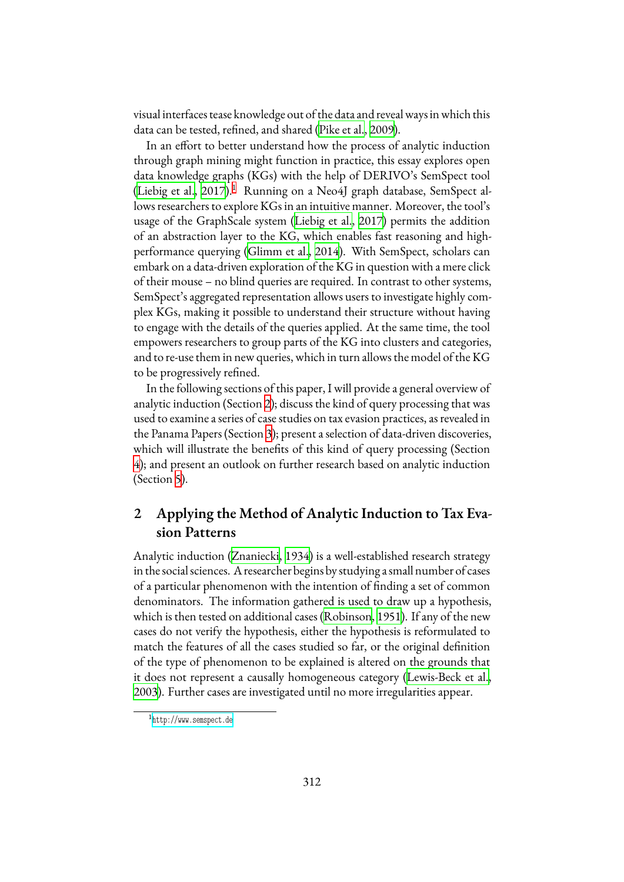visual interfaces tease knowledge out of the data and reveal ways in which this data can be tested, refined, and shared [\(Pike et al.,](#page-20-0) [2009\)](#page-20-0).

In an effort to better understand how the process of analytic induction through graph mining might function in practice, this essay explores open data knowledge graphs (KGs) with the help of DERIVO's SemSpect tool ([Liebig et al.,](#page-20-1) [2017](#page-20-1)).<sup>[1](#page-1-0)</sup> Running on a Neo4J graph database, SemSpect allows researchers to explore KGs in an intuitive manner. Moreover, the tool's usage of the GraphScale system [\(Liebig et al.,](#page-20-1) [2017](#page-20-1)) permits the addition of an abstraction layer to the KG, which enables fast reasoning and highperformance querying [\(Glimm et al.,](#page-19-0) [2014](#page-19-0)). With SemSpect, scholars can embark on a data-driven exploration of the KG in question with a mere click of their mouse – no blind queries are required. In contrast to other systems, SemSpect's aggregated representation allows users to investigate highly complex KGs, making it possible to understand their structure without having to engage with the details of the queries applied. At the same time, the tool empowers researchers to group parts of the KG into clusters and categories, and to re-use them in new queries, which in turn allows the model of the KG to be progressively refined.

In the following sections of this paper, I will provide a general overview of analytic induction (Section [2](#page-1-1)); discuss the kind of query processing that was used to examine a series of case studies on tax evasion practices, as revealed in the Panama Papers (Section [3\)](#page-2-0); present a selection of data-driven discoveries, which will illustrate the benefits of this kind of query processing (Section [4](#page-6-0)); and present an outlook on further research based on analytic induction (Section [5\)](#page-17-0).

# <span id="page-1-1"></span>**2 Applying the Method of Analytic Induction to Tax Evasion Patterns**

Analytic induction [\(Znaniecki,](#page-21-0) [1934](#page-21-0)) is a well-established research strategy in the social sciences. A researcher begins by studying a small number of cases of a particular phenomenon with the intention of finding a set of common denominators. The information gathered is used to draw up a hypothesis, which is then tested on additional cases([Robinson,](#page-21-1) [1951\)](#page-21-1). If any of the new cases do not verify the hypothesis, either the hypothesis is reformulated to match the features of all the cases studied so far, or the original definition of the type of phenomenon to be explained is altered on the grounds that it does not represent a causally homogeneous category [\(Lewis-Beck et al.](#page-19-1), [2003\)](#page-19-1). Further cases are investigated until no more irregularities appear.

<span id="page-1-0"></span><sup>1</sup> <http://www.semspect.de>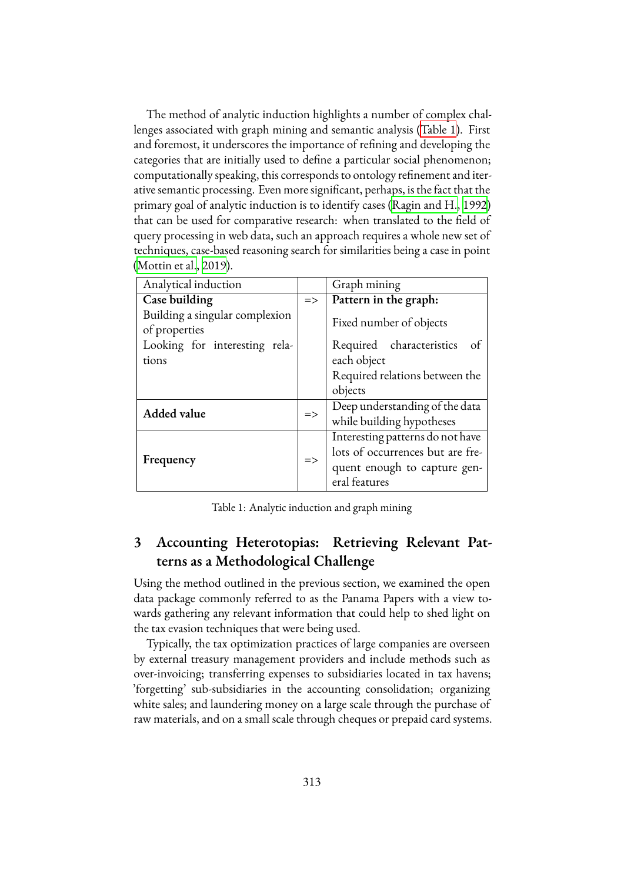The method of analytic induction highlights a number of complex challenges associated with graph mining and semantic analysis [\(Table 1](#page-2-1)). First and foremost, it underscores the importance of refining and developing the categories that are initially used to define a particular social phenomenon; computationally speaking, this corresponds to ontology refinement and iterative semantic processing. Even more significant, perhaps, is the fact that the primary goal of analytic induction is to identify cases([Ragin and H.](#page-20-2), [1992\)](#page-20-2) that can be used for comparative research: when translated to the field of query processing in web data, such an approach requires a whole new set of techniques, case-based reasoning search for similarities being a case in point ([Mottin et al.,](#page-20-3) [2019\)](#page-20-3).

<span id="page-2-1"></span>

| Analytical induction                            |               | Graph mining                               |
|-------------------------------------------------|---------------|--------------------------------------------|
| Case building                                   | $\Rightarrow$ | Pattern in the graph:                      |
| Building a singular complexion<br>of properties |               | Fixed number of objects                    |
| Looking for interesting rela-<br>tions          |               | Required characteristics of<br>each object |
|                                                 |               | Required relations between the             |
|                                                 |               | objects                                    |
| <b>Added value</b>                              | $\Rightarrow$ | Deep understanding of the data             |
|                                                 |               | while building hypotheses                  |
| Frequency                                       | $\Rightarrow$ | Interesting patterns do not have           |
|                                                 |               | lots of occurrences but are fre-           |
|                                                 |               | quent enough to capture gen-               |
|                                                 |               | eral features                              |

Table 1: Analytic induction and graph mining

## <span id="page-2-0"></span>**3 Accounting Heterotopias: Retrieving Relevant Patterns as a Methodological Challenge**

Using the method outlined in the previous section, we examined the open data package commonly referred to as the Panama Papers with a view towards gathering any relevant information that could help to shed light on the tax evasion techniques that were being used.

Typically, the tax optimization practices of large companies are overseen by external treasury management providers and include methods such as over-invoicing; transferring expenses to subsidiaries located in tax havens; 'forgetting' sub-subsidiaries in the accounting consolidation; organizing white sales; and laundering money on a large scale through the purchase of raw materials, and on a small scale through cheques or prepaid card systems.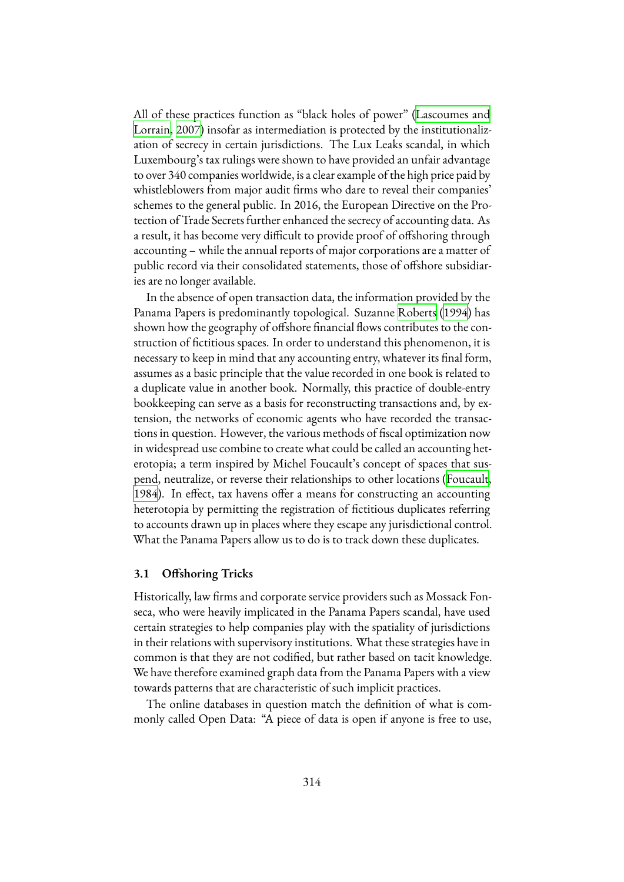All of these practices function as "black holes of power"([Lascoumes and](#page-19-2) [Lorrain](#page-19-2), [2007](#page-19-2)) insofar as intermediation is protected by the institutionalization of secrecy in certain jurisdictions. The Lux Leaks scandal, in which Luxembourg's tax rulings were shown to have provided an unfair advantage to over 340 companies worldwide, is a clear example of the high price paid by whistleblowers from major audit firms who dare to reveal their companies' schemes to the general public. In 2016, the European Directive on the Protection of Trade Secrets further enhanced the secrecy of accounting data. As a result, it has become very difficult to provide proof of offshoring through accounting – while the annual reports of major corporations are a matter of public record via their consolidated statements, those of offshore subsidiaries are no longer available.

In the absence of open transaction data, the information provided by the Panama Papers is predominantly topological. Suzanne [Roberts](#page-20-4) [\(1994](#page-20-4)) has shown how the geography of offshore financial flows contributes to the construction of fictitious spaces. In order to understand this phenomenon, it is necessary to keep in mind that any accounting entry, whatever its final form, assumes as a basic principle that the value recorded in one book is related to a duplicate value in another book. Normally, this practice of double-entry bookkeeping can serve as a basis for reconstructing transactions and, by extension, the networks of economic agents who have recorded the transactions in question. However, the various methods of fiscal optimization now in widespread use combine to create what could be called an accounting heterotopia; a term inspired by Michel Foucault's concept of spaces that suspend, neutralize, or reverse their relationships to other locations([Foucault](#page-19-3), [1984\)](#page-19-3). In effect, tax havens offer a means for constructing an accounting heterotopia by permitting the registration of fictitious duplicates referring to accounts drawn up in places where they escape any jurisdictional control. What the Panama Papers allow us to do is to track down these duplicates.

### **3.1 Offshoring Tricks**

Historically, law firms and corporate service providers such as Mossack Fonseca, who were heavily implicated in the Panama Papers scandal, have used certain strategies to help companies play with the spatiality of jurisdictions in their relations with supervisory institutions. What these strategies have in common is that they are not codified, but rather based on tacit knowledge. We have therefore examined graph data from the Panama Papers with a view towards patterns that are characteristic of such implicit practices.

The online databases in question match the definition of what is commonly called Open Data: "A piece of data is open if anyone is free to use,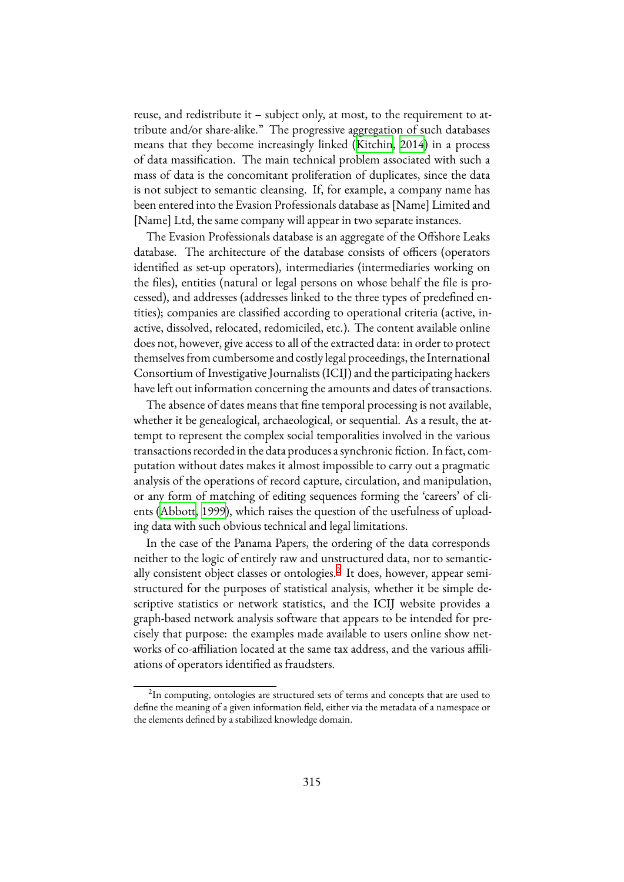reuse, and redistribute it – subject only, at most, to the requirement to attribute and/or share-alike." The progressive aggregation of such databases means that they become increasingly linked([Kitchin](#page-19-4), [2014\)](#page-19-4) in a process of data massification. The main technical problem associated with such a mass of data is the concomitant proliferation of duplicates, since the data is not subject to semantic cleansing. If, for example, a company name has been entered into the Evasion Professionals database as [Name] Limited and [Name] Ltd, the same company will appear in two separate instances.

The Evasion Professionals database is an aggregate of the Offshore Leaks database. The architecture of the database consists of officers (operators identified as set-up operators), intermediaries (intermediaries working on the files), entities (natural or legal persons on whose behalf the file is processed), and addresses (addresses linked to the three types of predefined entities); companies are classified according to operational criteria (active, inactive, dissolved, relocated, redomiciled, etc.). The content available online does not, however, give access to all of the extracted data: in order to protect themselves from cumbersome and costly legal proceedings, the International Consortium of Investigative Journalists (ICIJ) and the participating hackers have left out information concerning the amounts and dates of transactions.

The absence of dates means that fine temporal processing is not available, whether it be genealogical, archaeological, or sequential. As a result, the attempt to represent the complex social temporalities involved in the various transactions recorded in the data produces a synchronic fiction. In fact, computation without dates makes it almost impossible to carry out a pragmatic analysis of the operations of record capture, circulation, and manipulation, or any form of matching of editing sequences forming the 'careers' of clients([Abbott,](#page-19-5) [1999](#page-19-5)), which raises the question of the usefulness of uploading data with such obvious technical and legal limitations.

In the case of the Panama Papers, the ordering of the data corresponds neither to the logic of entirely raw and unstructured data, nor to semantic-ally consistent object classes or ontologies.<sup>[2](#page-4-0)</sup> It does, however, appear semistructured for the purposes of statistical analysis, whether it be simple descriptive statistics or network statistics, and the ICIJ website provides a graph-based network analysis software that appears to be intended for precisely that purpose: the examples made available to users online show networks of co-affiliation located at the same tax address, and the various affiliations of operators identified as fraudsters.

<span id="page-4-0"></span> $^{2}$ In computing, ontologies are structured sets of terms and concepts that are used to define the meaning of a given information field, either via the metadata of a namespace or the elements defined by a stabilized knowledge domain.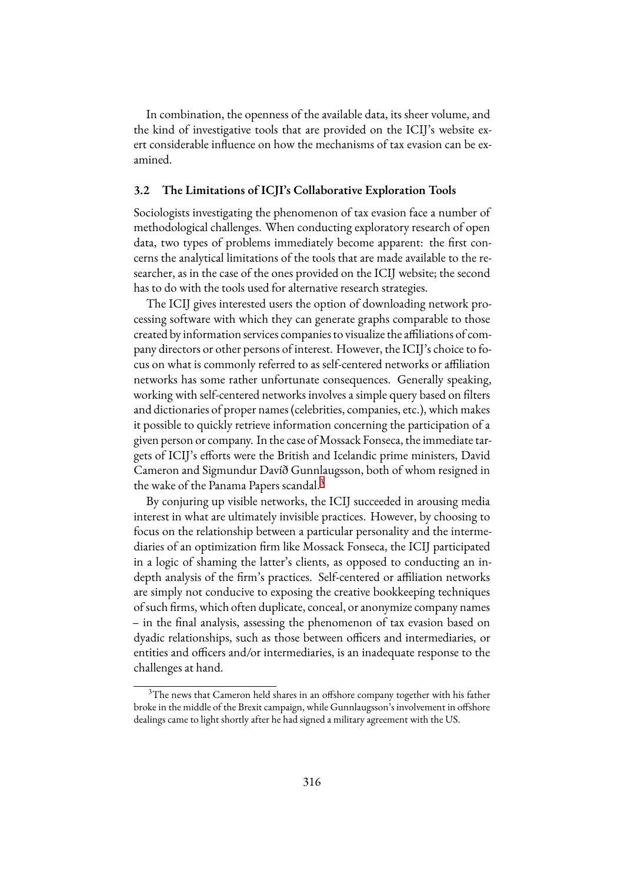In combination, the openness of the available data, its sheer volume, and the kind of investigative tools that are provided on the ICIJ's website exert considerable influence on how the mechanisms of tax evasion can be examined.

## **3.2 The Limitations of ICJI's Collaborative Exploration Tools**

Sociologists investigating the phenomenon of tax evasion face a number of methodological challenges. When conducting exploratory research of open data, two types of problems immediately become apparent: the first concerns the analytical limitations of the tools that are made available to the researcher, as in the case of the ones provided on the ICIJ website; the second has to do with the tools used for alternative research strategies.

The ICIJ gives interested users the option of downloading network processing software with which they can generate graphs comparable to those created by information services companies to visualize the affiliations of company directors or other persons of interest. However, the ICIJ's choice to focus on what is commonly referred to as self-centered networks or affiliation networks has some rather unfortunate consequences. Generally speaking, working with self-centered networks involves a simple query based on filters and dictionaries of proper names (celebrities, companies, etc.), which makes it possible to quickly retrieve information concerning the participation of a given person or company. In the case of Mossack Fonseca, the immediate targets of ICIJ's efforts were the British and Icelandic prime ministers, David Cameron and Sigmundur Davíð Gunnlaugsson, both of whom resigned in the wake of the Panama Papers scandal.<sup>[3](#page-5-0)</sup>

By conjuring up visible networks, the ICIJ succeeded in arousing media interest in what are ultimately invisible practices. However, by choosing to focus on the relationship between a particular personality and the intermediaries of an optimization firm like Mossack Fonseca, the ICIJ participated in a logic of shaming the latter's clients, as opposed to conducting an indepth analysis of the firm's practices. Self-centered or affiliation networks are simply not conducive to exposing the creative bookkeeping techniques of such firms, which often duplicate, conceal, or anonymize company names – in the final analysis, assessing the phenomenon of tax evasion based on dyadic relationships, such as those between officers and intermediaries, or entities and officers and/or intermediaries, is an inadequate response to the challenges at hand.

<span id="page-5-0"></span><sup>&</sup>lt;sup>3</sup>The news that Cameron held shares in an offshore company together with his father broke in the middle of the Brexit campaign, while Gunnlaugsson's involvement in offshore dealings came to light shortly after he had signed a military agreement with the US.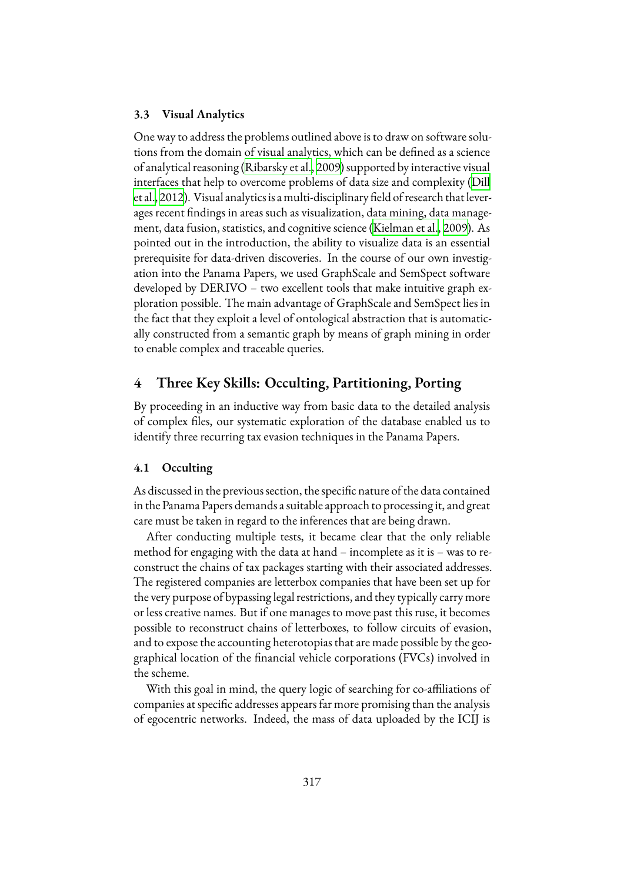### **3.3 Visual Analytics**

One way to address the problems outlined above is to draw on software solutions from the domain of visual analytics, which can be defined as a science of analytical reasoning([Ribarsky et al.](#page-20-5), [2009\)](#page-20-5) supported by interactive visual interfaces that help to overcome problems of data size and complexity [\(Dill](#page-19-6) [et al.,](#page-19-6) [2012](#page-19-6)). Visual analytics is a multi-disciplinary field of research that leverages recent findings in areas such as visualization, data mining, data management, data fusion, statistics, and cognitive science([Kielman et al.](#page-19-7), [2009\)](#page-19-7). As pointed out in the introduction, the ability to visualize data is an essential prerequisite for data-driven discoveries. In the course of our own investigation into the Panama Papers, we used GraphScale and SemSpect software developed by DERIVO – two excellent tools that make intuitive graph exploration possible. The main advantage of GraphScale and SemSpect lies in the fact that they exploit a level of ontological abstraction that is automatically constructed from a semantic graph by means of graph mining in order to enable complex and traceable queries.

## <span id="page-6-0"></span>**4 Three Key Skills: Occulting, Partitioning, Porting**

By proceeding in an inductive way from basic data to the detailed analysis of complex files, our systematic exploration of the database enabled us to identify three recurring tax evasion techniques in the Panama Papers.

### **4.1 Occulting**

As discussed in the previous section, the specific nature of the data contained in the Panama Papers demands a suitable approach to processing it, and great care must be taken in regard to the inferences that are being drawn.

After conducting multiple tests, it became clear that the only reliable method for engaging with the data at hand – incomplete as it is – was to reconstruct the chains of tax packages starting with their associated addresses. The registered companies are letterbox companies that have been set up for the very purpose of bypassing legal restrictions, and they typically carry more or less creative names. But if one manages to move past this ruse, it becomes possible to reconstruct chains of letterboxes, to follow circuits of evasion, and to expose the accounting heterotopias that are made possible by the geographical location of the financial vehicle corporations (FVCs) involved in the scheme.

With this goal in mind, the query logic of searching for co-affiliations of companies at specific addresses appears far more promising than the analysis of egocentric networks. Indeed, the mass of data uploaded by the ICIJ is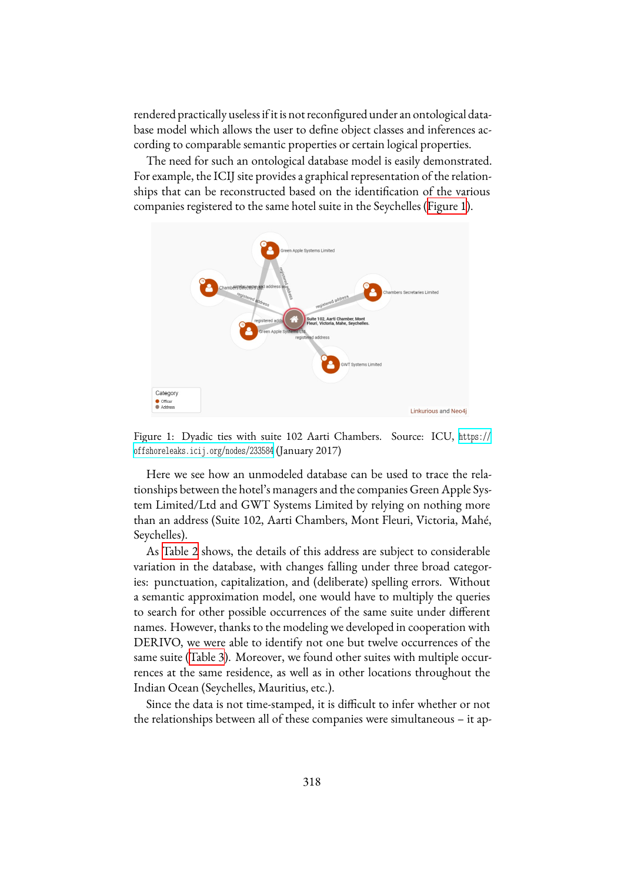rendered practically useless if it is not reconfigured under an ontological database model which allows the user to define object classes and inferences according to comparable semantic properties or certain logical properties.

The need for such an ontological database model is easily demonstrated. For example, the ICIJ site provides a graphical representation of the relationships that can be reconstructed based on the identification of the various companies registered to the same hotel suite in the Seychelles([Figure 1](#page-7-0)).

<span id="page-7-0"></span>

Figure 1: Dyadic ties with suite 102 Aarti Chambers. Source: ICU, [https://](https://offshoreleaks.icij.org/nodes/233584) [offshoreleaks.icij.org/nodes/233584](https://offshoreleaks.icij.org/nodes/233584) (January 2017)

Here we see how an unmodeled database can be used to trace the relationships between the hotel's managers and the companies Green Apple System Limited/Ltd and GWT Systems Limited by relying on nothing more than an address (Suite 102, Aarti Chambers, Mont Fleuri, Victoria, Mahé, Seychelles).

As [Table 2](#page-8-0) shows, the details of this address are subject to considerable variation in the database, with changes falling under three broad categories: punctuation, capitalization, and (deliberate) spelling errors. Without a semantic approximation model, one would have to multiply the queries to search for other possible occurrences of the same suite under different names. However, thanks to the modeling we developed in cooperation with DERIVO, we were able to identify not one but twelve occurrences of the same suite([Table 3](#page-9-0)). Moreover, we found other suites with multiple occurrences at the same residence, as well as in other locations throughout the Indian Ocean (Seychelles, Mauritius, etc.).

Since the data is not time-stamped, it is difficult to infer whether or not the relationships between all of these companies were simultaneous – it ap-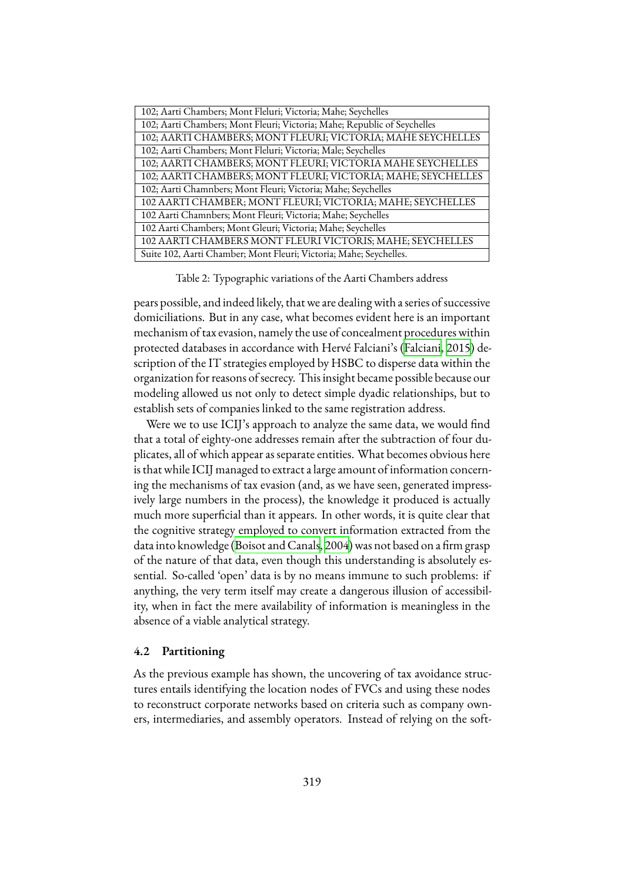<span id="page-8-0"></span>

| 102; Aarti Chambers; Mont Fleluri; Victoria; Mahe; Seychelles            |  |
|--------------------------------------------------------------------------|--|
| 102; Aarti Chambers; Mont Fleuri; Victoria; Mahe; Republic of Seychelles |  |
| 102; AARTI CHAMBERS; MONT FLEURI; VICTORIA; MAHE SEYCHELLES              |  |
| 102; Aarti Chambers; Mont Fleluri; Victoria; Male; Seychelles            |  |
| 102; AARTI CHAMBERS; MONT FLEURI; VICTORIA MAHE SEYCHELLES               |  |
| 102; AARTI CHAMBERS; MONT FLEURI; VICTORIA; MAHE; SEYCHELLES             |  |
| 102; Aarti Chamnbers; Mont Fleuri; Victoria; Mahe; Seychelles            |  |
| 102 AARTI CHAMBER; MONT FLEURI; VICTORIA; MAHE; SEYCHELLES               |  |
| 102 Aarti Chamnbers; Mont Fleuri; Victoria; Mahe; Seychelles             |  |
| 102 Aarti Chambers; Mont Gleuri; Victoria; Mahe; Seychelles              |  |
| 102 AARTI CHAMBERS MONT FLEURI VICTORIS; MAHE; SEYCHELLES                |  |
| Suite 102, Aarti Chamber; Mont Fleuri; Victoria; Mahe; Seychelles.       |  |

Table 2: Typographic variations of the Aarti Chambers address

pears possible, and indeed likely, that we are dealing with a series of successive domiciliations. But in any case, what becomes evident here is an important mechanism of tax evasion, namely the use of concealment procedures within protected databases in accordance with Hervé Falciani's([Falciani,](#page-19-8) [2015](#page-19-8)) description of the IT strategies employed by HSBC to disperse data within the organization for reasons of secrecy. This insight became possible because our modeling allowed us not only to detect simple dyadic relationships, but to establish sets of companies linked to the same registration address.

Were we to use ICIJ's approach to analyze the same data, we would find that a total of eighty-one addresses remain after the subtraction of four duplicates, all of which appear as separate entities. What becomes obvious here is that while ICIJ managed to extract a large amount of information concerning the mechanisms of tax evasion (and, as we have seen, generated impressively large numbers in the process), the knowledge it produced is actually much more superficial than it appears. In other words, it is quite clear that the cognitive strategy employed to convert information extracted from the data into knowledge [\(Boisot and Canals](#page-19-9), [2004\)](#page-19-9) was not based on a firm grasp of the nature of that data, even though this understanding is absolutely essential. So-called 'open' data is by no means immune to such problems: if anything, the very term itself may create a dangerous illusion of accessibility, when in fact the mere availability of information is meaningless in the absence of a viable analytical strategy.

#### **4.2 Partitioning**

As the previous example has shown, the uncovering of tax avoidance structures entails identifying the location nodes of FVCs and using these nodes to reconstruct corporate networks based on criteria such as company owners, intermediaries, and assembly operators. Instead of relying on the soft-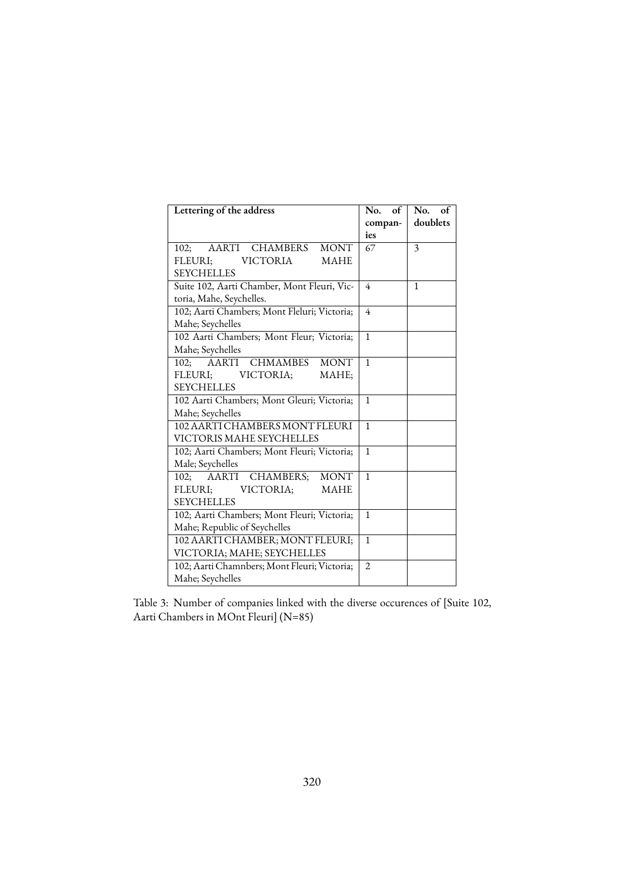<span id="page-9-0"></span>

| Lettering of the address                     | No. of<br>compan- | $No.$ of<br>doublets |
|----------------------------------------------|-------------------|----------------------|
|                                              | ies               |                      |
| AARTI CHAMBERS MONT<br>102:                  | 67                | 3                    |
| FLEURI; VICTORIA<br><b>MAHE</b>              |                   |                      |
| <b>SEYCHELLES</b>                            |                   |                      |
| Suite 102, Aarti Chamber, Mont Fleuri, Vic-  | $\overline{4}$    | $\mathbf{1}$         |
| toria, Mahe, Seychelles.                     |                   |                      |
| 102; Aarti Chambers; Mont Fleluri; Victoria; | $\overline{4}$    |                      |
| Mahe; Seychelles                             |                   |                      |
| 102 Aarti Chambers; Mont Fleur; Victoria;    | $\mathbf{1}$      |                      |
| Mahe; Seychelles                             |                   |                      |
| 102; AARTI CHMAMBES MONT                     | $\mathbf{1}$      |                      |
| FLEURI; VICTORIA;<br>MAHE;                   |                   |                      |
| <b>SEYCHELLES</b>                            |                   |                      |
| 102 Aarti Chambers; Mont Gleuri; Victoria;   | $\mathbf{1}$      |                      |
| Mahe; Seychelles                             |                   |                      |
| 102 AARTI CHAMBERS MONT FLEURI               | $\mathbf{1}$      |                      |
| VICTORIS MAHE SEYCHELLES                     |                   |                      |
| 102; Aarti Chambers; Mont Fleuri; Victoria;  | $\mathbf{1}$      |                      |
| Male; Seychelles                             |                   |                      |
| 102; AARTI CHAMBERS; MONT                    | $\mathbf{1}$      |                      |
| FLEURI; VICTORIA;<br><b>MAHE</b>             |                   |                      |
| <b>SEYCHELLES</b>                            |                   |                      |
| 102; Aarti Chambers; Mont Fleuri; Victoria;  | $\mathbf{1}$      |                      |
| Mahe; Republic of Seychelles                 |                   |                      |
| 102 AARTI CHAMBER; MONT FLEURI;              | $\mathbf{1}$      |                      |
| VICTORIA; MAHE; SEYCHELLES                   |                   |                      |
| 102; Aarti Chamnbers; Mont Fleuri; Victoria; | $\overline{2}$    |                      |
| Mahe; Seychelles                             |                   |                      |

Table 3: Number of companies linked with the diverse occurences of [Suite 102, Aarti Chambers in MOnt Fleuri] (N=85)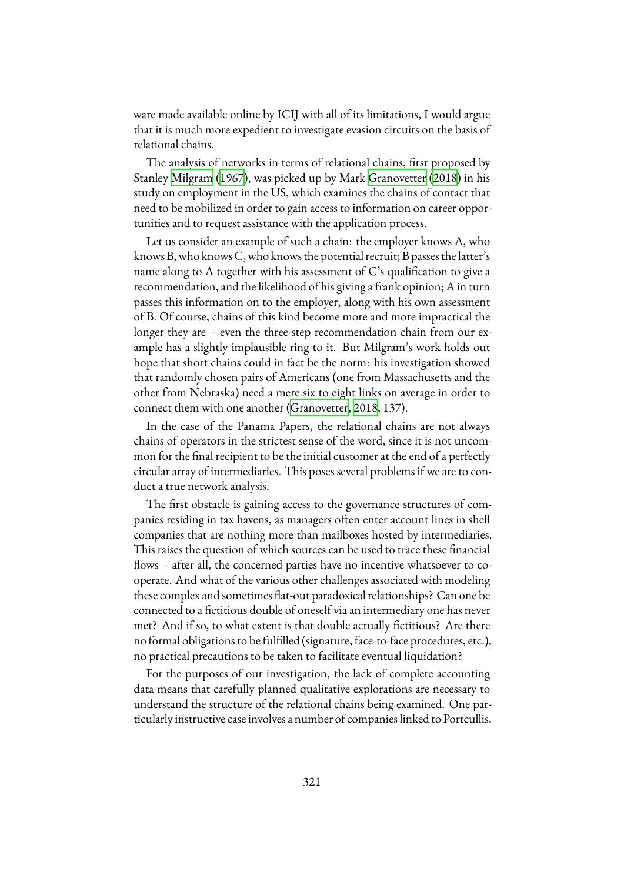ware made available online by ICIJ with all of its limitations, I would argue that it is much more expedient to investigate evasion circuits on the basis of relational chains.

The analysis of networks in terms of relational chains, first proposed by Stanley [Milgram](#page-20-6) ([1967\)](#page-20-6), was picked up by Mark [Granovetter](#page-19-10) [\(2018](#page-19-10)) in his study on employment in the US, which examines the chains of contact that need to be mobilized in order to gain access to information on career opportunities and to request assistance with the application process.

Let us consider an example of such a chain: the employer knows A, who knows B, who knows C, who knows the potential recruit; B passes the latter's name along to A together with his assessment of  $C$ 's qualification to give a recommendation, and the likelihood of his giving a frank opinion; A in turn passes this information on to the employer, along with his own assessment of B. Of course, chains of this kind become more and more impractical the longer they are – even the three-step recommendation chain from our example has a slightly implausible ring to it. But Milgram's work holds out hope that short chains could in fact be the norm: his investigation showed that randomly chosen pairs of Americans (one from Massachusetts and the other from Nebraska) need a mere six to eight links on average in order to connect them with one another([Granovetter](#page-19-10), [2018](#page-19-10), 137).

In the case of the Panama Papers, the relational chains are not always chains of operators in the strictest sense of the word, since it is not uncommon for the final recipient to be the initial customer at the end of a perfectly circular array of intermediaries. This poses several problems if we are to conduct a true network analysis.

The first obstacle is gaining access to the governance structures of companies residing in tax havens, as managers often enter account lines in shell companies that are nothing more than mailboxes hosted by intermediaries. This raises the question of which sources can be used to trace these financial flows – after all, the concerned parties have no incentive whatsoever to cooperate. And what of the various other challenges associated with modeling these complex and sometimes flat-out paradoxical relationships? Can one be connected to a fictitious double of oneself via an intermediary one has never met? And if so, to what extent is that double actually fictitious? Are there no formal obligations to be fulfilled (signature, face-to-face procedures, etc.), no practical precautions to be taken to facilitate eventual liquidation?

For the purposes of our investigation, the lack of complete accounting data means that carefully planned qualitative explorations are necessary to understand the structure of the relational chains being examined. One particularly instructive case involves a number of companies linked to Portcullis,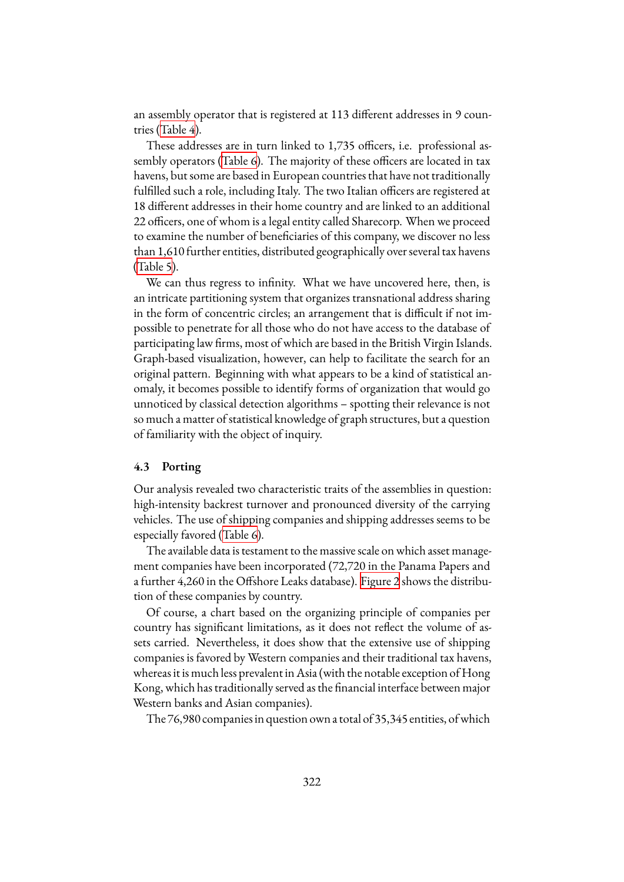an assembly operator that is registered at 113 different addresses in 9 countries([Table 4](#page-12-0)).

These addresses are in turn linked to 1,735 officers, i.e. professional assembly operators([Table 6](#page-14-0)). The majority of these officers are located in tax havens, but some are based in European countries that have not traditionally fulfilled such a role, including Italy. The two Italian officers are registered at 18 different addresses in their home country and are linked to an additional 22 officers, one of whom is a legal entity called Sharecorp. When we proceed to examine the number of beneficiaries of this company, we discover no less than 1,610 further entities, distributed geographically over several tax havens ([Table 5](#page-12-1)).

We can thus regress to infinity. What we have uncovered here, then, is an intricate partitioning system that organizes transnational address sharing in the form of concentric circles; an arrangement that is difficult if not impossible to penetrate for all those who do not have access to the database of participating law firms, most of which are based in the British Virgin Islands. Graph-based visualization, however, can help to facilitate the search for an original pattern. Beginning with what appears to be a kind of statistical anomaly, it becomes possible to identify forms of organization that would go unnoticed by classical detection algorithms – spotting their relevance is not so much a matter of statistical knowledge of graph structures, but a question of familiarity with the object of inquiry.

#### **4.3 Porting**

Our analysis revealed two characteristic traits of the assemblies in question: high-intensity backrest turnover and pronounced diversity of the carrying vehicles. The use of shipping companies and shipping addresses seems to be especially favored [\(Table 6\)](#page-14-0).

The available data is testament to the massive scale on which asset management companies have been incorporated (72,720 in the Panama Papers and a further 4,260 in the Offshore Leaks database). [Figure 2](#page-13-0) shows the distribution of these companies by country.

Of course, a chart based on the organizing principle of companies per country has significant limitations, as it does not reflect the volume of assets carried. Nevertheless, it does show that the extensive use of shipping companies is favored by Western companies and their traditional tax havens, whereas it is much less prevalent in Asia (with the notable exception of Hong Kong, which has traditionally served as the financial interface between major Western banks and Asian companies).

The 76,980 companies in question own a total of 35,345 entities, ofwhich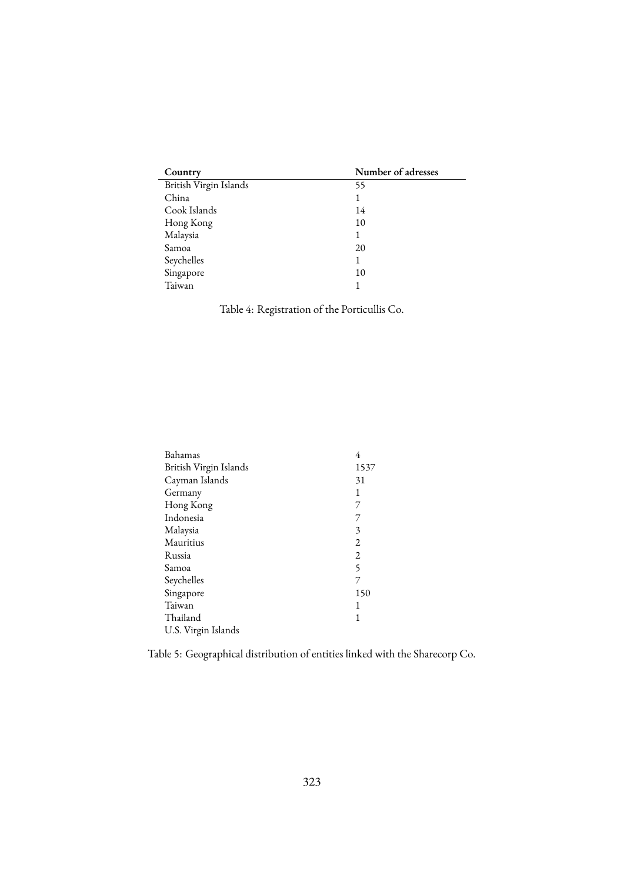<span id="page-12-0"></span>

| Country                | Number of adresses |
|------------------------|--------------------|
| British Virgin Islands | 55                 |
| China                  | 1                  |
| Cook Islands           | 14                 |
| Hong Kong              | 10                 |
| Malaysia               | 1                  |
| Samoa                  | 20                 |
| Seychelles             | 1                  |
| Singapore              | 10                 |
| Taiwan                 |                    |

Table 4: Registration of the Porticullis Co.

<span id="page-12-1"></span>

| Bahamas                | 4              |
|------------------------|----------------|
| British Virgin Islands | 1537           |
| Cayman Islands         | 31             |
| Germany                | 1              |
| Hong Kong              | 7              |
| Indonesia              | 7              |
| Malaysia               | 3              |
| Mauritius              | $\overline{2}$ |
| Russia                 | $\overline{2}$ |
| Samoa                  | 5              |
| Seychelles             | 7              |
| Singapore              | 150            |
| Taiwan                 | 1              |
| Thailand               | 1              |
| U.S. Virgin Islands    |                |
|                        |                |

Table 5: Geographical distribution of entities linked with the Sharecorp Co.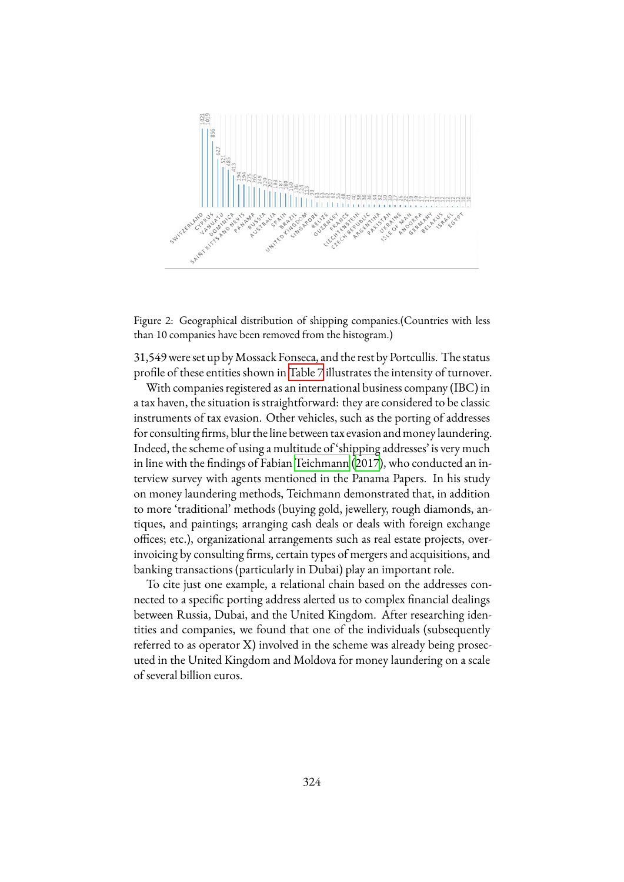<span id="page-13-0"></span>

Figure 2: Geographical distribution of shipping companies.(Countries with less than 10 companies have been removed from the histogram.)

31,549 were set up byMossack Fonseca, and the rest by Portcullis. The status profile of these entities shown in [Table 7](#page-15-0) illustrates the intensity of turnover.

With companies registered as an international business company (IBC) in a tax haven, the situation is straightforward: they are considered to be classic instruments of tax evasion. Other vehicles, such as the porting of addresses for consulting firms, blur the line between tax evasion and money laundering. Indeed, the scheme of using a multitude of 'shipping addresses' is very much in line with the findings of Fabian [Teichmann](#page-21-2) [\(2017](#page-21-2)), who conducted an interview survey with agents mentioned in the Panama Papers. In his study on money laundering methods, Teichmann demonstrated that, in addition to more 'traditional' methods (buying gold, jewellery, rough diamonds, antiques, and paintings; arranging cash deals or deals with foreign exchange offices; etc.), organizational arrangements such as real estate projects, overinvoicing by consulting firms, certain types of mergers and acquisitions, and banking transactions (particularly in Dubai) play an important role.

To cite just one example, a relational chain based on the addresses connected to a specific porting address alerted us to complex financial dealings between Russia, Dubai, and the United Kingdom. After researching identities and companies, we found that one of the individuals (subsequently referred to as operator X) involved in the scheme was already being prosecuted in the United Kingdom and Moldova for money laundering on a scale of several billion euros.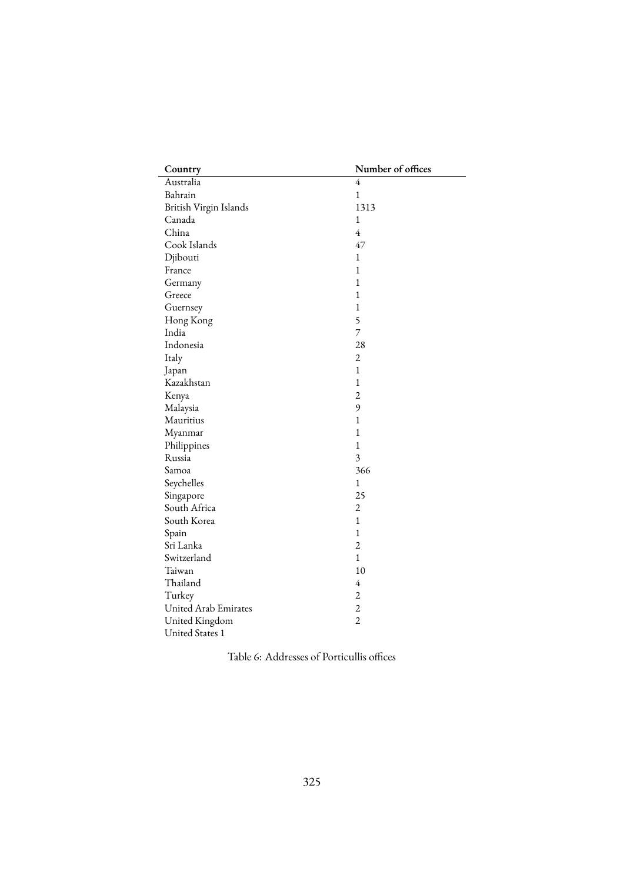<span id="page-14-0"></span>

| Country                | Number of offices |
|------------------------|-------------------|
| Australia              | 4                 |
| Bahrain                | $\mathbf{1}$      |
| British Virgin Islands | 1313              |
| Canada                 | $\mathbf{1}$      |
| China                  | $\overline{4}$    |
| Cook Islands           | 47                |
| Djibouti               | 1                 |
| France                 | $\mathbf{1}$      |
| Germany                | $\mathbf{1}$      |
| Greece                 | $\mathbf{1}$      |
| Guernsey               | $\mathbf{1}$      |
| Hong Kong              | 5                 |
| India                  | 7                 |
| Indonesia              | 28                |
| Italy                  | $\overline{2}$    |
| Japan                  | $\mathbf{1}$      |
| Kazakhstan             | $\mathbf{1}$      |
| Kenya                  | $\overline{c}$    |
| Malaysia               | 9                 |
| Mauritius              | 1                 |
| Myanmar                | $\mathbf{1}$      |
| Philippines            | $\mathbf{1}$      |
| Russia                 | 3                 |
| Samoa                  | 366               |
| Seychelles             | $\mathbf{1}$      |
| Singapore              | 25                |
| South Africa           | $\overline{c}$    |
| South Korea            | $\mathbf{1}$      |
| Spain                  | $\mathbf{1}$      |
| Sri Lanka              | $\overline{2}$    |
| Switzerland            | $\mathbf{1}$      |
| Taiwan                 | 10                |
| Thailand               | $\overline{4}$    |
| Turkey                 | $\overline{2}$    |
| United Arab Emirates   | $\overline{c}$    |
| United Kingdom         | $\overline{2}$    |
| United States 1        |                   |

Table 6: Addresses of Porticullis offices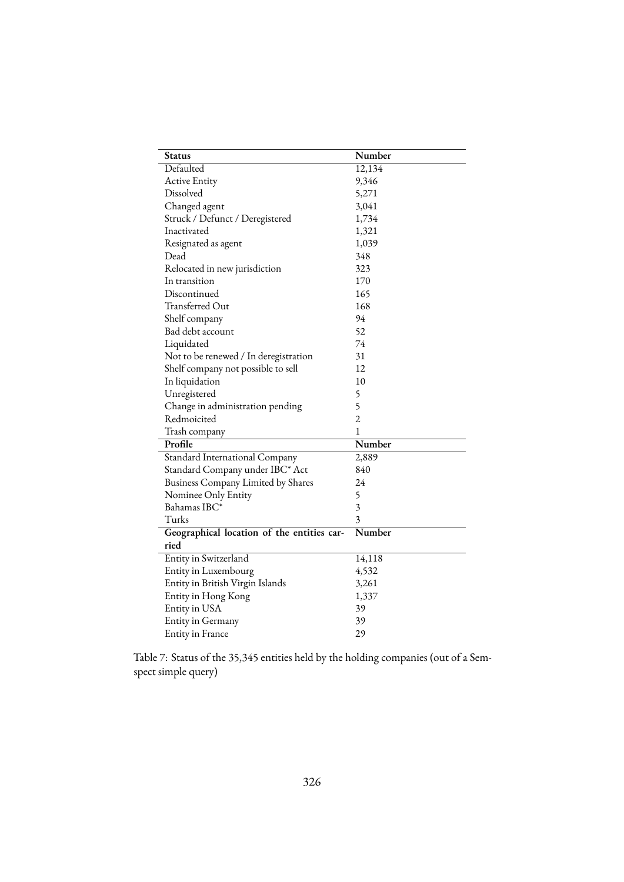<span id="page-15-0"></span>

| Status                                     | Number         |
|--------------------------------------------|----------------|
| Defaulted                                  | 12,134         |
| <b>Active Entity</b>                       | 9,346          |
| Dissolved                                  | 5,271          |
| Changed agent                              | 3,041          |
| Struck / Defunct / Deregistered            | 1,734          |
| Inactivated                                | 1,321          |
| Resignated as agent                        | 1,039          |
| Dead                                       | 348            |
| Relocated in new jurisdiction              | 323            |
| In transition                              | 170            |
| Discontinued                               | 165            |
| Transferred Out                            | 168            |
| Shelf company                              | 94             |
| Bad debt account                           | 52             |
| Liquidated                                 | 74             |
| Not to be renewed / In deregistration      | 31             |
| Shelf company not possible to sell         | 12             |
| In liquidation                             | 10             |
| Unregistered                               | 5              |
| Change in administration pending           | 5              |
| Redmoicited                                | $\overline{2}$ |
| Trash company                              | 1              |
| Profile                                    | Number         |
| Standard International Company             | 2,889          |
| Standard Company under IBC* Act            | 840            |
| Business Company Limited by Shares         | 24             |
| Nominee Only Entity                        | 5              |
| Bahamas IBC*                               | 3              |
| Turks                                      | 3              |
| Geographical location of the entities car- | Number         |
| ried                                       |                |
| Entity in Switzerland                      | 14,118         |
| Entity in Luxembourg                       | 4,532          |
| Entity in British Virgin Islands           | 3,261          |
| Entity in Hong Kong                        | 1,337          |
| Entity in USA                              | 39             |
| Entity in Germany                          | 39             |
| Entity in France                           | 29             |

Table 7: Status of the 35,345 entities held by the holding companies (out of a Semspect simple query)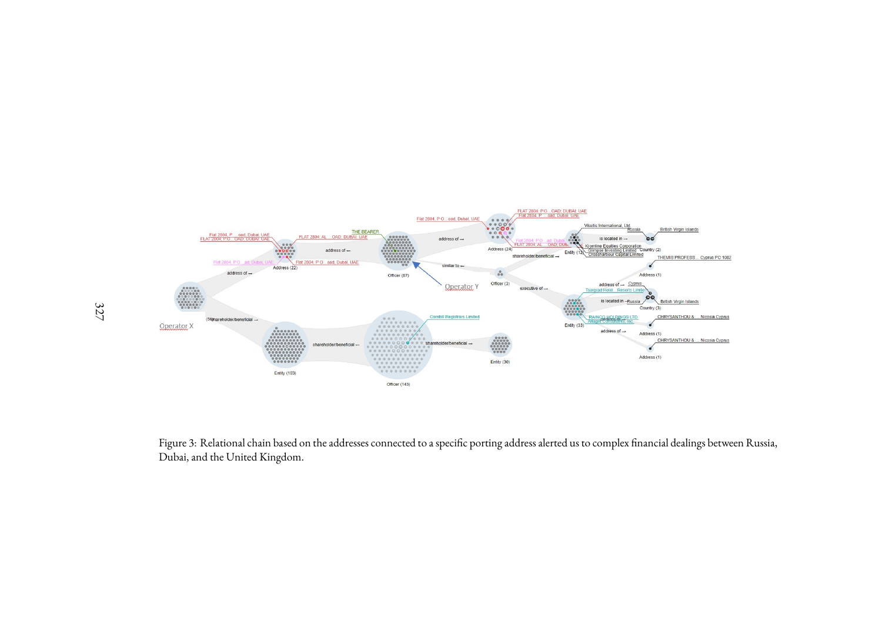

<span id="page-16-0"></span>Figure 3: Relational chain based on the addresses connected to <sup>a</sup> specific porting address alerted us to complex financial dealings between Russia, Dubai, and the United Kingdom.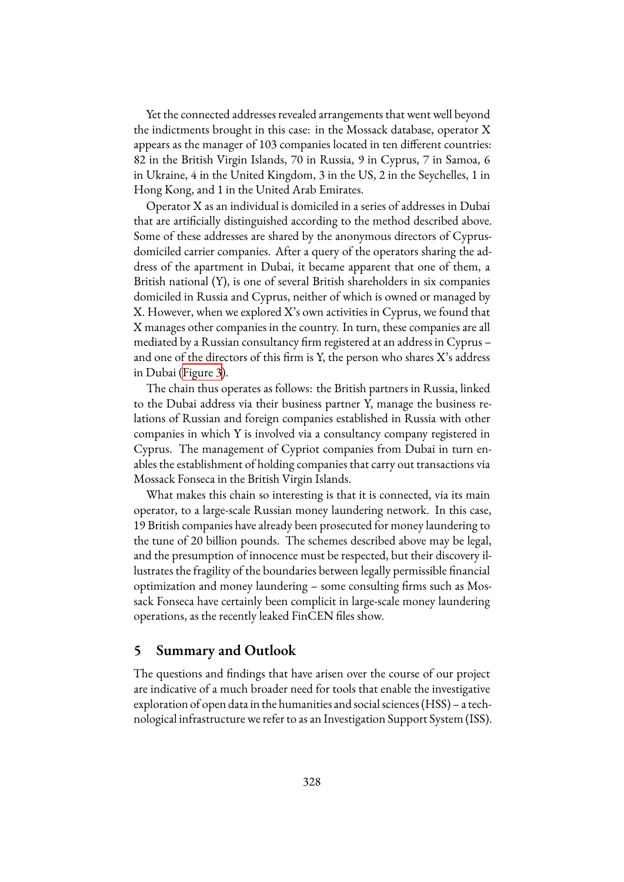Yet the connected addresses revealed arrangements that went well beyond the indictments brought in this case: in the Mossack database, operator X appears as the manager of 103 companies located in ten different countries: 82 in the British Virgin Islands, 70 in Russia, 9 in Cyprus, 7 in Samoa, 6 in Ukraine, 4 in the United Kingdom, 3 in the US, 2 in the Seychelles, 1 in Hong Kong, and 1 in the United Arab Emirates.

Operator X as an individual is domiciled in a series of addresses in Dubai that are artificially distinguished according to the method described above. Some of these addresses are shared by the anonymous directors of Cyprusdomiciled carrier companies. After a query of the operators sharing the address of the apartment in Dubai, it became apparent that one of them, a British national (Y), is one of several British shareholders in six companies domiciled in Russia and Cyprus, neither of which is owned or managed by X. However, when we explored X's own activities in Cyprus, we found that X manages other companies in the country. In turn, these companies are all mediated by a Russian consultancy firm registered at an address in Cyprus – and one of the directors of this firm is Y, the person who shares X's address in Dubai [\(Figure 3\)](#page-16-0).

The chain thus operates as follows: the British partners in Russia, linked to the Dubai address via their business partner Y, manage the business relations of Russian and foreign companies established in Russia with other companies in which Y is involved via a consultancy company registered in Cyprus. The management of Cypriot companies from Dubai in turn enables the establishment of holding companies that carry out transactions via Mossack Fonseca in the British Virgin Islands.

What makes this chain so interesting is that it is connected, via its main operator, to a large-scale Russian money laundering network. In this case, 19 British companies have already been prosecuted for money laundering to the tune of 20 billion pounds. The schemes described above may be legal, and the presumption of innocence must be respected, but their discovery illustrates the fragility of the boundaries between legally permissible financial optimization and money laundering – some consulting firms such as Mossack Fonseca have certainly been complicit in large-scale money laundering operations, as the recently leaked FinCEN files show.

## <span id="page-17-0"></span>**5 Summary and Outlook**

The questions and findings that have arisen over the course of our project are indicative of a much broader need for tools that enable the investigative exploration of open data in the humanities and social sciences (HSS) – a technological infrastructure we refer to as an Investigation Support System (ISS).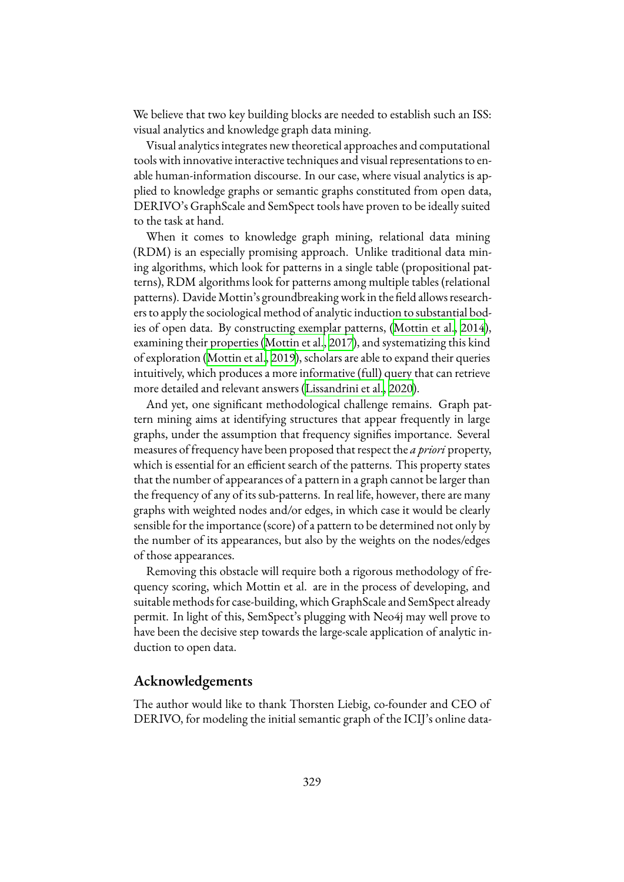We believe that two key building blocks are needed to establish such an ISS: visual analytics and knowledge graph data mining.

Visual analytics integrates new theoretical approaches and computational tools with innovative interactive techniques and visual representations to enable human‐information discourse. In our case, where visual analytics is applied to knowledge graphs or semantic graphs constituted from open data, DERIVO's GraphScale and SemSpect tools have proven to be ideally suited to the task at hand.

When it comes to knowledge graph mining, relational data mining (RDM) is an especially promising approach. Unlike traditional data mining algorithms, which look for patterns in a single table (propositional patterns), RDM algorithms look for patterns among multiple tables (relational patterns). Davide Mottin's groundbreaking work in the field allows researchers to apply the sociological method of analytic induction to substantial bodies of open data. By constructing exemplar patterns,([Mottin et al.,](#page-20-7) [2014\)](#page-20-7), examining their properties([Mottin et al.,](#page-20-8) [2017\)](#page-20-8), and systematizing this kind of exploration [\(Mottin et al.,](#page-20-3) [2019\)](#page-20-3), scholars are able to expand their queries intuitively, which produces a more informative (full) query that can retrieve more detailed and relevant answers [\(Lissandrini et al.,](#page-20-9) [2020\)](#page-20-9).

And yet, one significant methodological challenge remains. Graph pattern mining aims at identifying structures that appear frequently in large graphs, under the assumption that frequency signifies importance. Several measures of frequency have been proposed that respect the *a priori* property, which is essential for an efficient search of the patterns. This property states that the number of appearances of a pattern in a graph cannot be larger than the frequency of any of its sub-patterns. In real life, however, there are many graphs with weighted nodes and/or edges, in which case it would be clearly sensible for the importance (score) of a pattern to be determined not only by the number of its appearances, but also by the weights on the nodes/edges of those appearances.

Removing this obstacle will require both a rigorous methodology of frequency scoring, which Mottin et al. are in the process of developing, and suitable methods for case-building, which GraphScale and SemSpect already permit. In light of this, SemSpect's plugging with Neo4j may well prove to have been the decisive step towards the large-scale application of analytic induction to open data.

## **Acknowledgements**

The author would like to thank Thorsten Liebig, co-founder and CEO of DERIVO, for modeling the initial semantic graph of the ICIJ's online data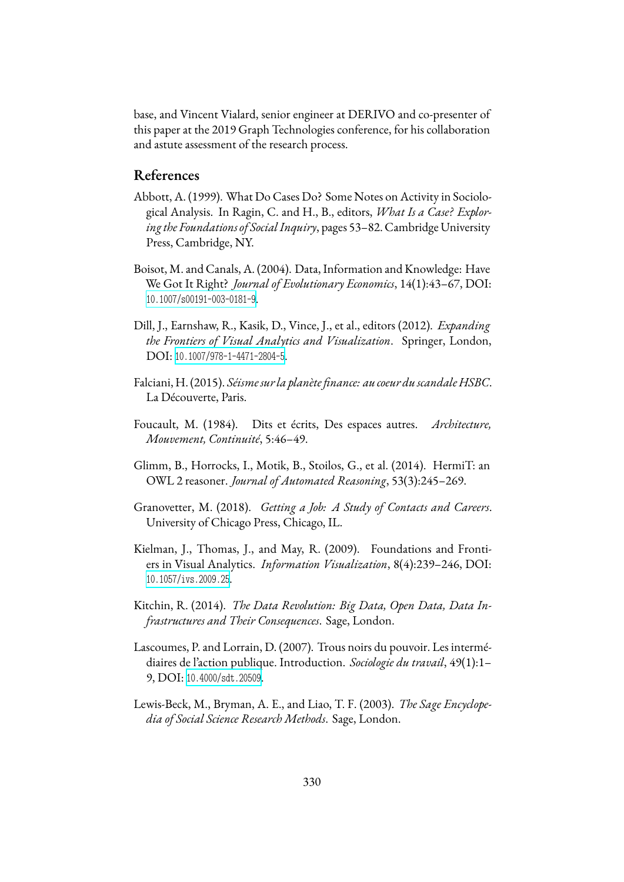base, and Vincent Vialard, senior engineer at DERIVO and co-presenter of this paper at the 2019 Graph Technologies conference, for his collaboration and astute assessment of the research process.

## **References**

- <span id="page-19-5"></span>Abbott, A. (1999). What Do Cases Do? Some Notes on Activity in Sociological Analysis. In Ragin, C. and H., B., editors, *What Is a Case? Exploring the Foundations of Social Inquiry*, pages 53–82. Cambridge University Press, Cambridge, NY.
- <span id="page-19-9"></span>Boisot, M. and Canals, A. (2004). Data, Information and Knowledge: Have We Got It Right? *Journal of Evolutionary Economics*, 14(1):43–67, DOI: [10.1007/s00191-003-0181-9](https://dx.doi.org/10.1007/s00191-003-0181-9).
- <span id="page-19-6"></span>Dill, J., Earnshaw, R., Kasik, D., Vince, J., et al., editors (2012). *Expanding the Frontiers of Visual Analytics and Visualization*. Springer, London, DOI: [10.1007/978-1-4471-2804-5](https://dx.doi.org/10.1007/978-1-4471-2804-5).
- <span id="page-19-8"></span>Falciani, H. (2015). *Séisme surla planète finance: au coeur du scandale HSBC*. La Découverte, Paris.
- <span id="page-19-3"></span>Foucault, M. (1984). Dits et écrits, Des espaces autres. *Architecture, Mouvement, Continuité*, 5:46–49.
- <span id="page-19-0"></span>Glimm, B., Horrocks, I., Motik, B., Stoilos, G., et al. (2014). HermiT: an OWL 2 reasoner. *Journal of Automated Reasoning*, 53(3):245–269.
- <span id="page-19-10"></span>Granovetter, M. (2018). *Getting a Job: A Study of Contacts and Careers*. University of Chicago Press, Chicago, IL.
- <span id="page-19-7"></span>Kielman, J., Thomas, J., and May, R. (2009). Foundations and Frontiers in Visual Analytics. *Information Visualization*, 8(4):239–246, DOI: [10.1057/ivs.2009.25](https://dx.doi.org/10.1057/ivs.2009.25).
- <span id="page-19-4"></span>Kitchin, R. (2014). *The Data Revolution: Big Data, Open Data, Data Infrastructures and Their Consequences*. Sage, London.
- <span id="page-19-2"></span>Lascoumes, P. and Lorrain, D. (2007). Trous noirs du pouvoir. Les intermédiaires de l'action publique. Introduction. *Sociologie du travail*, 49(1):1– 9, DOI: [10.4000/sdt.20509](https://dx.doi.org/10.4000/sdt.20509).
- <span id="page-19-1"></span>Lewis-Beck, M., Bryman, A. E., and Liao, T. F. (2003). *The Sage Encyclopedia of Social Science Research Methods*. Sage, London.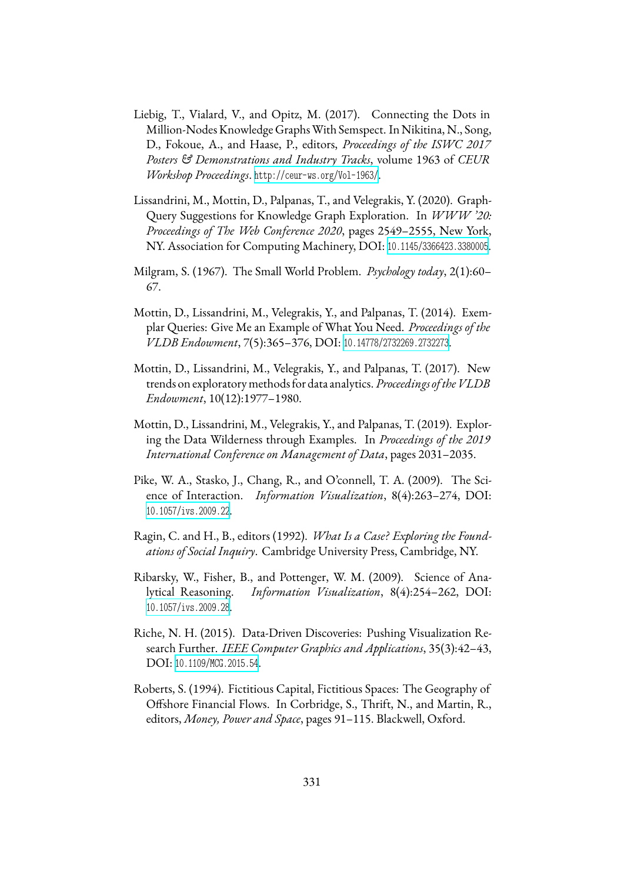- <span id="page-20-1"></span>Liebig, T., Vialard, V., and Opitz, M. (2017). Connecting the Dots in Million-Nodes Knowledge GraphsWith Semspect. In Nikitina, N., Song, D., Fokoue, A., and Haase, P., editors, *Proceedings of the ISWC 2017 Posters & Demonstrations and Industry Tracks*, volume 1963 of *CEUR Workshop Proceedings*. <http://ceur-ws.org/Vol-1963/>.
- <span id="page-20-9"></span>Lissandrini, M., Mottin, D., Palpanas, T., and Velegrakis, Y. (2020). Graph-Query Suggestions for Knowledge Graph Exploration. In *WWW '20: Proceedings of The Web Conference 2020*, pages 2549–2555, New York, NY. Association for Computing Machinery, DOI: [10.1145/3366423.3380005](https://dx.doi.org/10.1145/3366423.3380005).
- <span id="page-20-6"></span>Milgram, S. (1967). The Small World Problem. *Psychology today*, 2(1):60– 67.
- <span id="page-20-7"></span>Mottin, D., Lissandrini, M., Velegrakis, Y., and Palpanas, T. (2014). Exemplar Queries: Give Me an Example of What You Need. *Proceedings of the VLDB Endowment*, 7(5):365–376, DOI: [10.14778/2732269.2732273](https://dx.doi.org/10.14778/2732269.2732273).
- <span id="page-20-8"></span>Mottin, D., Lissandrini, M., Velegrakis, Y., and Palpanas, T. (2017). New trends on exploratory methods for data analytics. *Proceedings oftheVLDB Endowment*, 10(12):1977–1980.
- <span id="page-20-3"></span>Mottin, D., Lissandrini, M., Velegrakis, Y., and Palpanas, T. (2019). Exploring the Data Wilderness through Examples. In *Proceedings of the 2019 International Conference on Management of Data*, pages 2031–2035.
- <span id="page-20-0"></span>Pike, W. A., Stasko, J., Chang, R., and O'connell, T. A. (2009). The Science of Interaction. *Information Visualization*, 8(4):263–274, DOI: [10.1057/ivs.2009.22](https://dx.doi.org/10.1057/ivs.2009.22).
- <span id="page-20-2"></span>Ragin, C. and H., B., editors (1992). *What Is a Case? Exploring the Foundations of Social Inquiry*. Cambridge University Press, Cambridge, NY.
- <span id="page-20-5"></span>Ribarsky, W., Fisher, B., and Pottenger, W. M. (2009). Science of Analytical Reasoning. *Information Visualization*, 8(4):254–262, DOI: [10.1057/ivs.2009.28](https://dx.doi.org/10.1057/ivs.2009.28).
- Riche, N. H. (2015). Data-Driven Discoveries: Pushing Visualization Research Further. *IEEE Computer Graphics and Applications*, 35(3):42–43, DOI: [10.1109/MCG.2015.54](https://dx.doi.org/10.1109/MCG.2015.54).
- <span id="page-20-4"></span>Roberts, S. (1994). Fictitious Capital, Fictitious Spaces: The Geography of Offshore Financial Flows. In Corbridge, S., Thrift, N., and Martin, R., editors, *Money, Power and Space*, pages 91–115. Blackwell, Oxford.